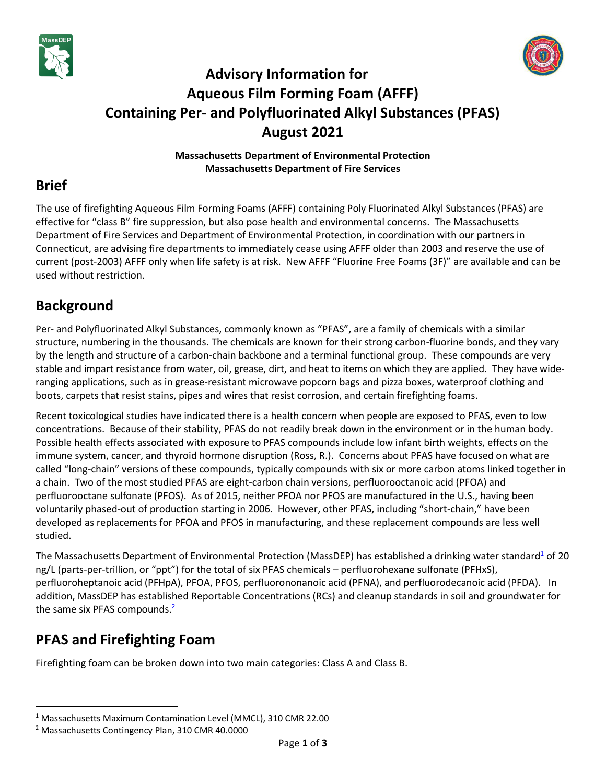



# **Advisory Information for Aqueous Film Forming Foam (AFFF) Containing Per- and Polyfluorinated Alkyl Substances (PFAS) August 2021**

**Massachusetts Department of Environmental Protection Massachusetts Department of Fire Services**

### **Brief**

The use of firefighting Aqueous Film Forming Foams (AFFF) containing Poly Fluorinated Alkyl Substances (PFAS) are effective for "class B" fire suppression, but also pose health and environmental concerns. The Massachusetts Department of Fire Services and Department of Environmental Protection, in coordination with our partners in Connecticut, are advising fire departments to immediately cease using AFFF older than 2003 and reserve the use of current (post-2003) AFFF only when life safety is at risk. New AFFF "Fluorine Free Foams (3F)" are available and can be used without restriction.

## **Background**

Per- and Polyfluorinated Alkyl Substances, commonly known as "PFAS", are a family of chemicals with a similar structure, numbering in the thousands. The chemicals are known for their strong carbon-fluorine bonds, and they vary by the length and structure of a carbon-chain backbone and a terminal functional group. These compounds are very stable and impart resistance from water, oil, grease, dirt, and heat to items on which they are applied. They have wideranging applications, such as in grease-resistant microwave popcorn bags and pizza boxes, waterproof clothing and boots, carpets that resist stains, pipes and wires that resist corrosion, and certain firefighting foams.

Recent toxicological studies have indicated there is a health concern when people are exposed to PFAS, even to low concentrations. Because of their stability, PFAS do not readily break down in the environment or in the human body. Possible health effects associated with exposure to PFAS compounds include low infant birth weights, effects on the immune system, cancer, and thyroid hormone disruption (Ross, R.). Concerns about PFAS have focused on what are called "long-chain" versions of these compounds, typically compounds with six or more carbon atoms linked together in a chain. Two of the most studied PFAS are eight-carbon chain versions, perfluorooctanoic acid (PFOA) and perfluorooctane sulfonate (PFOS). As of 2015, neither PFOA nor PFOS are manufactured in the U.S., having been voluntarily phased-out of production starting in 2006. However, other PFAS, including "short-chain," have been developed as replacements for PFOA and PFOS in manufacturing, and these replacement compounds are less well studied.

The Massachusetts Department of Environmental Protection (MassDEP) has established a drinking water standard<sup>1</sup> of 20 ng/L (parts-per-trillion, or "ppt") for the total of six PFAS chemicals – perfluorohexane sulfonate (PFHxS), perfluoroheptanoic acid (PFHpA), PFOA, PFOS, perfluorononanoic acid (PFNA), and perfluorodecanoic acid (PFDA). In addition, MassDEP has established Reportable Concentrations (RCs) and cleanup standards in soil and groundwater for the same six PFAS compounds.<sup>2</sup>

# **PFAS and Firefighting Foam**

Firefighting foam can be broken down into two main categories: Class A and Class B.

<sup>1</sup> Massachusetts Maximum Contamination Level (MMCL), 310 CMR 22.00

<sup>2</sup> Massachusetts Contingency Plan, 310 CMR 40.0000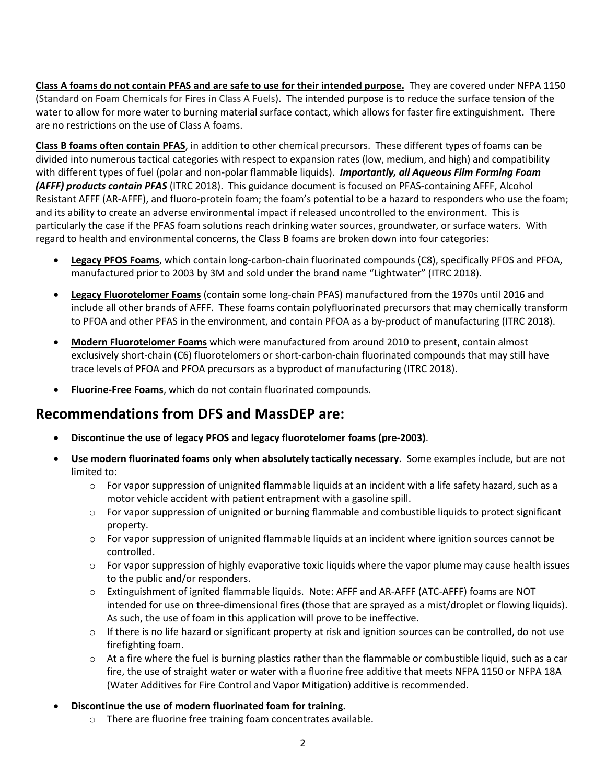**Class A foams do not contain PFAS and are safe to use for their intended purpose.** They are covered under NFPA 1150 (Standard on Foam Chemicals for Fires in Class A Fuels). The intended purpose is to reduce the surface tension of the water to allow for more water to burning material surface contact, which allows for faster fire extinguishment. There are no restrictions on the use of Class A foams.

**Class B foams often contain PFAS**, in addition to other chemical precursors. These different types of foams can be divided into numerous tactical categories with respect to expansion rates (low, medium, and high) and compatibility with different types of fuel (polar and non-polar flammable liquids). *Importantly, all Aqueous Film Forming Foam (AFFF) products contain PFAS* (ITRC 2018). This guidance document is focused on PFAS-containing AFFF, Alcohol Resistant AFFF (AR-AFFF), and fluoro-protein foam; the foam's potential to be a hazard to responders who use the foam; and its ability to create an adverse environmental impact if released uncontrolled to the environment. This is particularly the case if the PFAS foam solutions reach drinking water sources, groundwater, or surface waters. With regard to health and environmental concerns, the Class B foams are broken down into four categories:

- **Legacy PFOS Foams**, which contain long-carbon-chain fluorinated compounds (C8), specifically PFOS and PFOA, manufactured prior to 2003 by 3M and sold under the brand name "Lightwater" (ITRC 2018).
- **Legacy Fluorotelomer Foams** (contain some long-chain PFAS) manufactured from the 1970s until 2016 and include all other brands of AFFF. These foams contain polyfluorinated precursors that may chemically transform to PFOA and other PFAS in the environment, and contain PFOA as a by-product of manufacturing (ITRC 2018).
- **Modern Fluorotelomer Foams** which were manufactured from around 2010 to present, contain almost exclusively short-chain (C6) fluorotelomers or short-carbon-chain fluorinated compounds that may still have trace levels of PFOA and PFOA precursors as a byproduct of manufacturing (ITRC 2018).
- **Fluorine-Free Foams**, which do not contain fluorinated compounds.

#### **Recommendations from DFS and MassDEP are:**

- **Discontinue the use of legacy PFOS and legacy fluorotelomer foams (pre-2003)**.
- **Use modern fluorinated foams only when absolutely tactically necessary**. Some examples include, but are not limited to:
	- $\circ$  For vapor suppression of unignited flammable liquids at an incident with a life safety hazard, such as a motor vehicle accident with patient entrapment with a gasoline spill.
	- $\circ$  For vapor suppression of unignited or burning flammable and combustible liquids to protect significant property.
	- $\circ$  For vapor suppression of unignited flammable liquids at an incident where ignition sources cannot be controlled.
	- $\circ$  For vapor suppression of highly evaporative toxic liquids where the vapor plume may cause health issues to the public and/or responders.
	- o Extinguishment of ignited flammable liquids. Note: AFFF and AR-AFFF (ATC-AFFF) foams are NOT intended for use on three-dimensional fires (those that are sprayed as a mist/droplet or flowing liquids). As such, the use of foam in this application will prove to be ineffective.
	- $\circ$  If there is no life hazard or significant property at risk and ignition sources can be controlled, do not use firefighting foam.
	- $\circ$  At a fire where the fuel is burning plastics rather than the flammable or combustible liquid, such as a car fire, the use of straight water or water with a fluorine free additive that meets NFPA 1150 or NFPA 18A (Water Additives for Fire Control and Vapor Mitigation) additive is recommended.
- **Discontinue the use of modern fluorinated foam for training.**
	- o There are fluorine free training foam concentrates available.